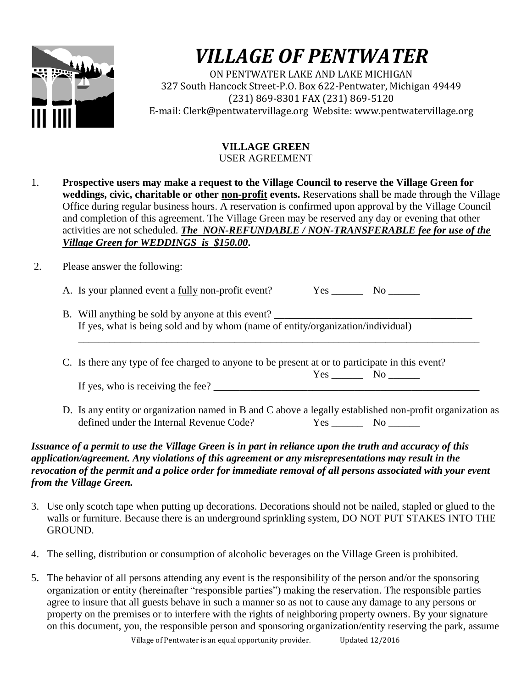

## *VILLAGE OF PENTWATER*

ON PENTWATER LAKE AND LAKE MICHIGAN 327 South Hancock Street-P.O. Box 622-Pentwater, Michigan 49449 (231) 869-8301 FAX (231) 869-5120 E-mail: Clerk@pentwatervillage.org Website: www.pentwatervillage.org

## **VILLAGE GREEN**  USER AGREEMENT

1. **Prospective users may make a request to the Village Council to reserve the Village Green for weddings, civic, charitable or other non-profit events.** Reservations shall be made through the Village Office during regular business hours. A reservation is confirmed upon approval by the Village Council and completion of this agreement. The Village Green may be reserved any day or evening that other activities are not scheduled. *The NON-REFUNDABLE / NON-TRANSFERABLE fee for use of the Village Green for WEDDINGS is \$150.00***.**

2. Please answer the following:

A. Is your planned event a <u>fully</u> non-profit event? Yes \_\_\_\_\_\_\_\_ No \_\_\_\_\_\_\_

- B. Will anything be sold by anyone at this event? \_\_\_\_\_\_\_\_\_\_\_\_\_\_\_\_\_\_\_\_\_\_\_\_\_\_\_\_\_\_\_\_\_\_\_\_\_\_ If yes, what is being sold and by whom (name of entity/organization/individual)
- C. Is there any type of fee charged to anyone to be present at or to participate in this event?

Yes \_\_\_\_\_\_ No \_\_\_\_\_\_ If yes, who is receiving the fee?  $\Box$ 

\_\_\_\_\_\_\_\_\_\_\_\_\_\_\_\_\_\_\_\_\_\_\_\_\_\_\_\_\_\_\_\_\_\_\_\_\_\_\_\_\_\_\_\_\_\_\_\_\_\_\_\_\_\_\_\_\_\_\_\_\_\_\_\_\_\_\_\_\_\_\_\_\_\_\_\_\_

D. Is any entity or organization named in B and C above a legally established non-profit organization as defined under the Internal Revenue Code?<br>Yes No defined under the Internal Revenue Code?

## *Issuance of a permit to use the Village Green is in part in reliance upon the truth and accuracy of this application/agreement. Any violations of this agreement or any misrepresentations may result in the revocation of the permit and a police order for immediate removal of all persons associated with your event from the Village Green.*

- 3. Use only scotch tape when putting up decorations. Decorations should not be nailed, stapled or glued to the walls or furniture. Because there is an underground sprinkling system, DO NOT PUT STAKES INTO THE GROUND.
- 4. The selling, distribution or consumption of alcoholic beverages on the Village Green is prohibited.
- 5. The behavior of all persons attending any event is the responsibility of the person and/or the sponsoring organization or entity (hereinafter "responsible parties") making the reservation. The responsible parties agree to insure that all guests behave in such a manner so as not to cause any damage to any persons or property on the premises or to interfere with the rights of neighboring property owners. By your signature on this document, you, the responsible person and sponsoring organization/entity reserving the park, assume